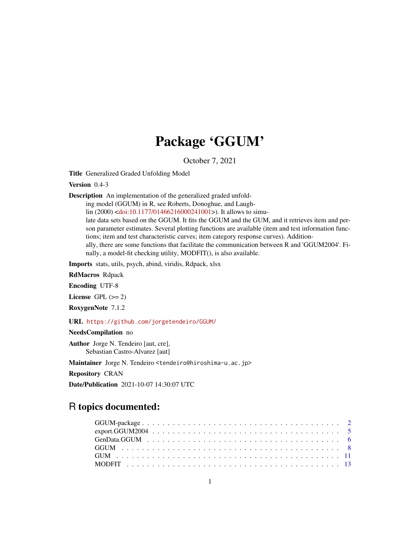# Package 'GGUM'

October 7, 2021

Title Generalized Graded Unfolding Model

Version 0.4-3

Description An implementation of the generalized graded unfold-

ing model (GGUM) in R, see Roberts, Donoghue, and Laugh-

lin (2000) [<doi:10.1177/01466216000241001>](https://doi.org/10.1177/01466216000241001)). It allows to simu-

late data sets based on the GGUM. It fits the GGUM and the GUM, and it retrieves item and person parameter estimates. Several plotting functions are available (item and test information functions; item and test characteristic curves; item category response curves). Additionally, there are some functions that facilitate the communication between R and 'GGUM2004'. Finally, a model-fit checking utility, MODFIT(), is also available.

Imports stats, utils, psych, abind, viridis, Rdpack, xlsx

RdMacros Rdpack

Encoding UTF-8

License GPL  $(>= 2)$ 

RoxygenNote 7.1.2

URL <https://github.com/jorgetendeiro/GGUM/>

NeedsCompilation no

Author Jorge N. Tendeiro [aut, cre], Sebastian Castro-Alvarez [aut]

Maintainer Jorge N. Tendeiro <tendeiro@hiroshima-u.ac.jp>

Repository CRAN

Date/Publication 2021-10-07 14:30:07 UTC

# R topics documented: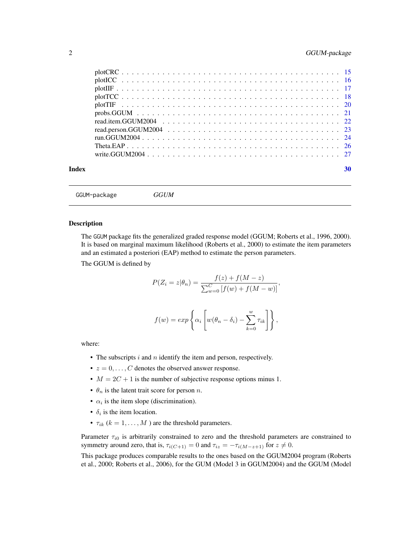## <span id="page-1-0"></span>2 GGUM-package

| Index | 30 |
|-------|----|
|       |    |

GGUM-package *GGUM*

#### Description

The GGUM package fits the generalized graded response model (GGUM; Roberts et al., 1996, 2000). It is based on marginal maximum likelihood (Roberts et al., 2000) to estimate the item parameters and an estimated a posteriori (EAP) method to estimate the person parameters.

The GGUM is defined by

$$
P(Z_i = z | \theta_n) = \frac{f(z) + f(M - z)}{\sum_{w=0}^{C} [f(w) + f(M - w)]}
$$

,

$$
f(w) = exp \left\{ \alpha_i \left[ w(\theta_n - \delta_i) - \sum_{k=0}^w \tau_{ik} \right] \right\},\,
$$

where:

- The subscripts  $i$  and  $n$  identify the item and person, respectively.
- $z = 0, \ldots, C$  denotes the observed answer response.
- $M = 2C + 1$  is the number of subjective response options minus 1.
- $\theta_n$  is the latent trait score for person *n*.
- $\alpha_i$  is the item slope (discrimination).
- $\delta_i$  is the item location.
- $\tau_{ik}$  ( $k = 1, \ldots, M$ ) are the threshold parameters.

Parameter  $\tau_{i0}$  is arbitrarily constrained to zero and the threshold parameters are constrained to symmetry around zero, that is,  $\tau_{i(C+1)} = 0$  and  $\tau_{iz} = -\tau_{i(M-z+1)}$  for  $z \neq 0$ .

This package produces comparable results to the ones based on the GGUM2004 program (Roberts et al., 2000; Roberts et al., 2006), for the GUM (Model 3 in GGUM2004) and the GGUM (Model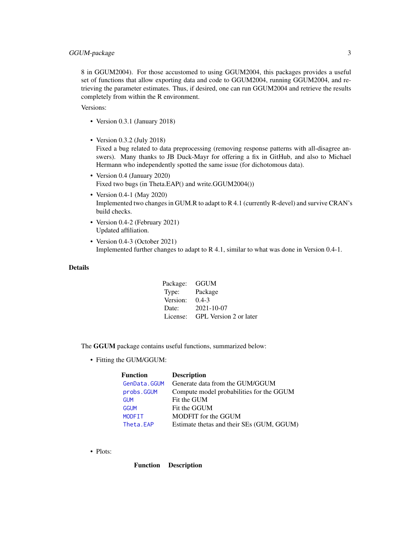<span id="page-2-0"></span>8 in GGUM2004). For those accustomed to using GGUM2004, this packages provides a useful set of functions that allow exporting data and code to GGUM2004, running GGUM2004, and retrieving the parameter estimates. Thus, if desired, one can run GGUM2004 and retrieve the results completely from within the R environment.

Versions:

- Version 0.3.1 (January 2018)
- Version 0.3.2 (July 2018)

Fixed a bug related to data preprocessing (removing response patterns with all-disagree answers). Many thanks to JB Duck-Mayr for offering a fix in GitHub, and also to Michael Hermann who independently spotted the same issue (for dichotomous data).

- Version 0.4 (January 2020) Fixed two bugs (in Theta.EAP() and write.GGUM2004())
- Version 0.4-1 (May 2020) Implemented two changes in GUM.R to adapt to R 4.1 (currently R-devel) and survive CRAN's build checks.
- Version 0.4-2 (February 2021) Updated affiliation.
- Version 0.4-3 (October 2021) Implemented further changes to adapt to R 4.1, similar to what was done in Version 0.4-1.

## Details

| Package: | GGUM                   |
|----------|------------------------|
| Type:    | Package                |
| Version: | $0.4 - 3$              |
| Date:    | $2021 - 10 - 07$       |
| License: | GPL Version 2 or later |

The GGUM package contains useful functions, summarized below:

• Fitting the GUM/GGUM:

| <b>Function</b> | <b>Description</b>                        |
|-----------------|-------------------------------------------|
| GenData.GGUM    | Generate data from the GUM/GGUM           |
| probs.GGUM      | Compute model probabilities for the GGUM  |
| <b>GUM</b>      | Fit the GUM                               |
| <b>GGUM</b>     | Fit the GGUM                              |
| <b>MODFIT</b>   | MODFIT for the GGUM                       |
| Theta.EAP       | Estimate thetas and their SEs (GUM, GGUM) |

• Plots:

Function Description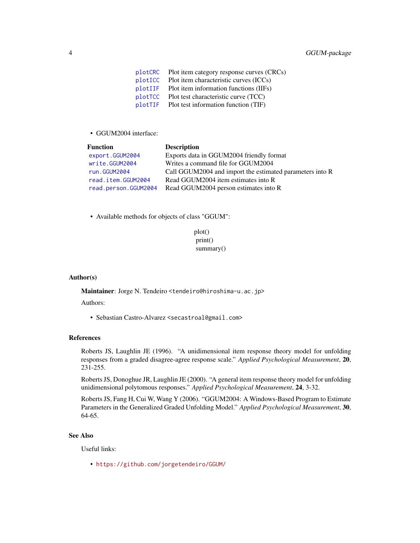<span id="page-3-0"></span>[plotCRC](#page-14-1) Plot item category response curves (CRCs) [plotICC](#page-15-1) Plot item characteristic curves (ICCs) [plotIIF](#page-16-1) Plot item information functions (IIFs) [plotTCC](#page-17-1) Plot test characteristic curve (TCC) [plotTIF](#page-19-1) Plot test information function (TIF)

• GGUM2004 interface:

| Call GGUM2004 and import the estimated parameters into R |
|----------------------------------------------------------|
|                                                          |
|                                                          |
|                                                          |

- Available methods for objects of class "GGUM":
	- plot() print() summary()

#### Author(s)

Maintainer: Jorge N. Tendeiro <tendeiro@hiroshima-u.ac.jp>

Authors:

• Sebastian Castro-Alvarez <secastroal@gmail.com>

#### References

Roberts JS, Laughlin JE (1996). "A unidimensional item response theory model for unfolding responses from a graded disagree-agree response scale." *Applied Psychological Measurement*, 20, 231-255.

Roberts JS, Donoghue JR, Laughlin JE (2000). "A general item response theory model for unfolding unidimensional polytomous responses." *Applied Psychological Measurement*, 24, 3-32.

Roberts JS, Fang H, Cui W, Wang Y (2006). "GGUM2004: A Windows-Based Program to Estimate Parameters in the Generalized Graded Unfolding Model." *Applied Psychological Measurement*, 30, 64-65.

#### See Also

Useful links:

• <https://github.com/jorgetendeiro/GGUM/>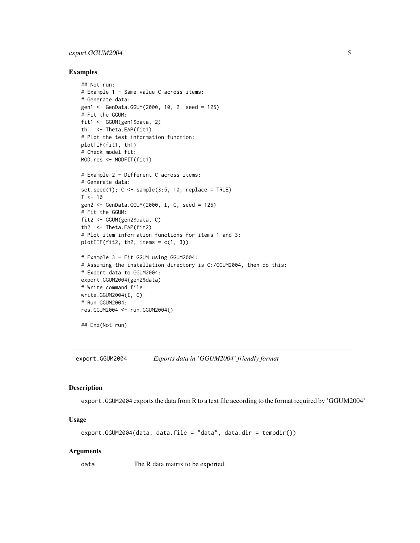## <span id="page-4-0"></span>export.GGUM2004 5

#### Examples

```
## Not run:
# Example 1 - Same value C across items:
# Generate data:
gen1 <- GenData.GGUM(2000, 10, 2, seed = 125)
# Fit the GGUM:
fit1 <- GGUM(gen1$data, 2)
th1 <- Theta.EAP(fit1)
# Plot the test information function:
plotTIF(fit1, th1)
# Check model fit:
MOD.res <- MODFIT(fit1)
# Example 2 - Different C across items:
# Generate data:
set.seed(1); C \leq sample(3:5, 10, replace = TRUE)
I < -10gen2 <- GenData.GGUM(2000, I, C, seed = 125)
# Fit the GGUM:
fit2 <- GGUM(gen2$data, C)
th2 <- Theta.EAP(fit2)
# Plot item information functions for items 1 and 3:
plotIIF(fit2, th2, items = c(1, 3))
# Example 3 - Fit GGUM using GGUM2004:
# Assuming the installation directory is C:/GGUM2004, then do this:
# Export data to GGUM2004:
export.GGUM2004(gen2$data)
# Write command file:
write.GGUM2004(I, C)
# Run GGUM2004:
res.GGUM2004 <- run.GGUM2004()
## End(Not run)
```
<span id="page-4-1"></span>export.GGUM2004 *Exports data in 'GGUM2004' friendly format*

#### Description

export.GGUM2004 exports the data from R to a text file according to the format required by 'GGUM2004'

#### Usage

```
export.GGUM2004(data, data.file = "data", data.dir = tempdir())
```
#### Arguments

data The R data matrix to be exported.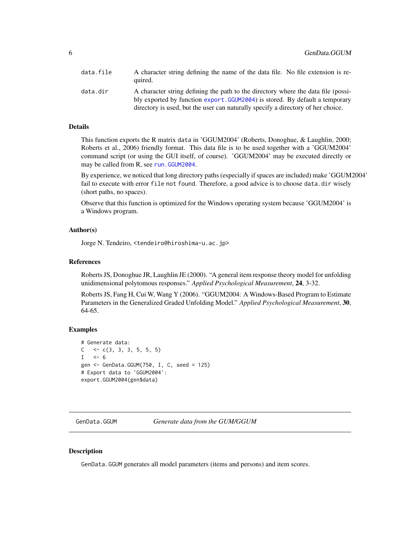<span id="page-5-0"></span>

| data.file | A character string defining the name of the data file. No file extension is re-<br>quired.                                                                                                                                                            |
|-----------|-------------------------------------------------------------------------------------------------------------------------------------------------------------------------------------------------------------------------------------------------------|
| data.dir  | A character string defining the path to the directory where the data file (possi-<br>bly exported by function export. GGUM2004) is stored. By default a temporary<br>directory is used, but the user can naturally specify a directory of her choice. |

#### Details

This function exports the R matrix data in 'GGUM2004' (Roberts, Donoghue, & Laughlin, 2000; Roberts et al., 2006) friendly format. This data file is to be used together with a 'GGUM2004' command script (or using the GUI itself, of course). 'GGUM2004' may be executed directly or may be called from R, see run. GGUM2004.

By experience, we noticed that long directory paths (especially if spaces are included) make 'GGUM2004' fail to execute with error file not found. Therefore, a good advice is to choose data.dir wisely (short paths, no spaces).

Observe that this function is optimized for the Windows operating system because 'GGUM2004' is a Windows program.

#### Author(s)

Jorge N. Tendeiro, <tendeiro@hiroshima-u.ac.jp>

#### References

Roberts JS, Donoghue JR, Laughlin JE (2000). "A general item response theory model for unfolding unidimensional polytomous responses." *Applied Psychological Measurement*, 24, 3-32.

Roberts JS, Fang H, Cui W, Wang Y (2006). "GGUM2004: A Windows-Based Program to Estimate Parameters in the Generalized Graded Unfolding Model." *Applied Psychological Measurement*, 30, 64-65.

#### Examples

```
# Generate data:
C \leq -c(3, 3, 3, 5, 5, 5)I \le -6gen <- GenData.GGUM(750, I, C, seed = 125)
# Export data to 'GGUM2004':
export.GGUM2004(gen$data)
```
<span id="page-5-1"></span>GenData.GGUM *Generate data from the GUM/GGUM*

#### Description

GenData.GGUM generates all model parameters (items and persons) and item scores.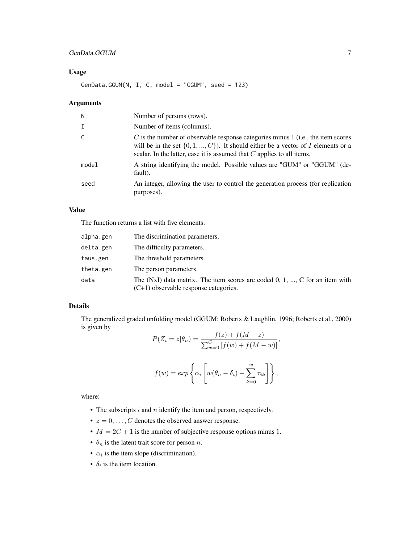# GenData.GGUM 7

### Usage

 $GenData.GGUM(N, I, C, model = "GGUM", seed = 123)$ 

#### Arguments

| N            | Number of persons (rows).                                                                                                                                                                                                                               |
|--------------|---------------------------------------------------------------------------------------------------------------------------------------------------------------------------------------------------------------------------------------------------------|
| $\mathsf{T}$ | Number of items (columns).                                                                                                                                                                                                                              |
|              | $C$ is the number of observable response categories minus 1 (i.e., the item scores<br>will be in the set $\{0, 1, , C\}$ ). It should either be a vector of I elements or a<br>scalar. In the latter, case it is assumed that $C$ applies to all items. |
| model        | A string identifying the model. Possible values are "GUM" or "GGUM" (de-<br>fault).                                                                                                                                                                     |
| seed         | An integer, allowing the user to control the generation process (for replication<br>purposes).                                                                                                                                                          |

#### Value

The function returns a list with five elements:

| alpha.gen | The discrimination parameters.                                                                                           |
|-----------|--------------------------------------------------------------------------------------------------------------------------|
| delta.gen | The difficulty parameters.                                                                                               |
| taus.gen  | The threshold parameters.                                                                                                |
| theta.gen | The person parameters.                                                                                                   |
| data      | The (NxI) data matrix. The item scores are coded $0, 1, , C$ for an item with<br>$(C+1)$ observable response categories. |

#### Details

The generalized graded unfolding model (GGUM; Roberts & Laughlin, 1996; Roberts et al., 2000) is given by

$$
P(Z_i = z | \theta_n) = \frac{f(z) + f(M - z)}{\sum_{w=0}^{C} [f(w) + f(M - w)]},
$$

$$
f(w) = exp \left\{ \alpha_i \left[ w(\theta_n - \delta_i) - \sum_{k=0}^w \tau_{ik} \right] \right\},\,
$$

where:

- The subscripts  $i$  and  $n$  identify the item and person, respectively.
- $z = 0, \ldots, C$  denotes the observed answer response.
- $M = 2C + 1$  is the number of subjective response options minus 1.
- $\theta_n$  is the latent trait score for person *n*.
- $\alpha_i$  is the item slope (discrimination).
- $\delta_i$  is the item location.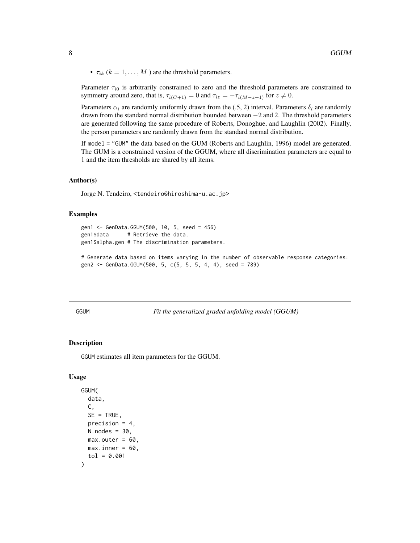<span id="page-7-0"></span>•  $\tau_{ik}$  ( $k = 1, \ldots, M$ ) are the threshold parameters.

Parameter  $\tau_{i0}$  is arbitrarily constrained to zero and the threshold parameters are constrained to symmetry around zero, that is,  $\tau_{i(C+1)} = 0$  and  $\tau_{iz} = -\tau_{i(M-z+1)}$  for  $z \neq 0$ .

Parameters  $\alpha_i$  are randomly uniformly drawn from the (.5, 2) interval. Parameters  $\delta_i$  are randomly drawn from the standard normal distribution bounded between  $-2$  and 2. The threshold parameters are generated following the same procedure of Roberts, Donoghue, and Laughlin (2002). Finally, the person parameters are randomly drawn from the standard normal distribution.

If model = "GUM" the data based on the GUM (Roberts and Laughlin, 1996) model are generated. The GUM is a constrained version of the GGUM, where all discrimination parameters are equal to 1 and the item thresholds are shared by all items.

#### Author(s)

Jorge N. Tendeiro, <tendeiro@hiroshima-u.ac.jp>

#### Examples

```
gen1 <- GenData.GGUM(500, 10, 5, seed = 456)
gen1$data # Retrieve the data.
gen1$alpha.gen # The discrimination parameters.
```

```
# Generate data based on items varying in the number of observable response categories:
gen2 <- GenData.GGUM(500, 5, c(5, 5, 5, 4, 4), seed = 789)
```
<span id="page-7-1"></span>GGUM *Fit the generalized graded unfolding model (GGUM)*

#### Description

GGUM estimates all item parameters for the GGUM.

### Usage

```
GGUM(
  data,
  C,
  SE = TRUE,
 precision = 4,
 N.nodes = 30,
 max.outer = 60.
 max.inner = 60,tol = 0.001
)
```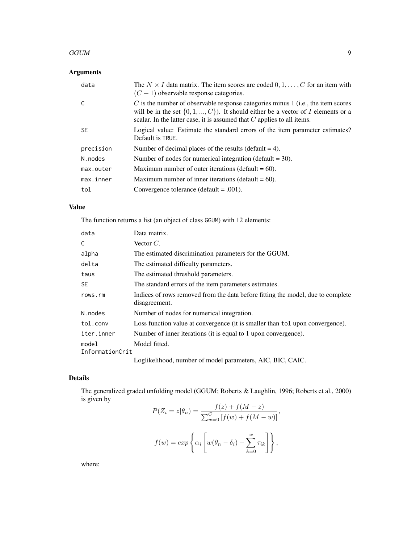#### $GGUM$  9

# Arguments

| data      | The $N \times I$ data matrix. The item scores are coded $0, 1, \ldots, C$ for an item with<br>$(C+1)$ observable response categories.                                                                                                                   |
|-----------|---------------------------------------------------------------------------------------------------------------------------------------------------------------------------------------------------------------------------------------------------------|
|           | $C$ is the number of observable response categories minus 1 (i.e., the item scores<br>will be in the set $\{0, 1, , C\}$ ). It should either be a vector of I elements or a<br>scalar. In the latter case, it is assumed that $C$ applies to all items. |
| SE.       | Logical value: Estimate the standard errors of the item parameter estimates?<br>Default is TRUE.                                                                                                                                                        |
| precision | Number of decimal places of the results (default $= 4$ ).                                                                                                                                                                                               |
| N. nodes  | Number of nodes for numerical integration (default $=$ 30).                                                                                                                                                                                             |
| max.outer | Maximum number of outer iterations (default $= 60$ ).                                                                                                                                                                                                   |
| max.inner | Maximum number of inner iterations (default $= 60$ ).                                                                                                                                                                                                   |
| tol       | Convergence tolerance ( $default = .001$ ).                                                                                                                                                                                                             |

# Value

The function returns a list (an object of class GGUM) with 12 elements:

| data                     | Data matrix.                                                                                     |  |
|--------------------------|--------------------------------------------------------------------------------------------------|--|
| C                        | Vector $C$ .                                                                                     |  |
| alpha                    | The estimated discrimination parameters for the GGUM.                                            |  |
| delta                    | The estimated difficulty parameters.                                                             |  |
| taus                     | The estimated threshold parameters.                                                              |  |
| SE.                      | The standard errors of the item parameters estimates.                                            |  |
| rows.rm                  | Indices of rows removed from the data before fitting the model, due to complete<br>disagreement. |  |
| N.nodes                  | Number of nodes for numerical integration.                                                       |  |
| tol.conv                 | Loss function value at convergence (it is smaller than tol upon convergence).                    |  |
| iter.inner               | Number of inner iterations (it is equal to 1 upon convergence).                                  |  |
| model<br>InformationCrit | Model fitted.                                                                                    |  |
|                          | Loglikelihood, number of model parameters, AIC, BIC, CAIC.                                       |  |

# Details

The generalized graded unfolding model (GGUM; Roberts & Laughlin, 1996; Roberts et al., 2000) is given by  $f(z) = f(M - z)$ 

$$
P(Z_i = z | \theta_n) = \frac{f(z) + f(M - z)}{\sum_{w=0}^{C} [f(w) + f(M - w)]},
$$

$$
f(w) = exp\left\{\alpha_i \left[w(\theta_n - \delta_i) - \sum_{k=0}^{w} \tau_{ik}\right]\right\},
$$

where: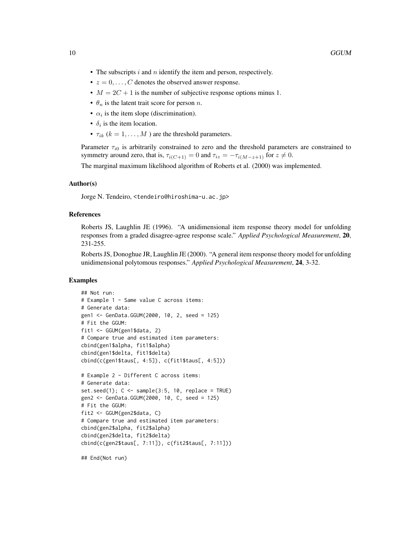- The subscripts  $i$  and  $n$  identify the item and person, respectively.
- $z = 0, \ldots, C$  denotes the observed answer response.
- $M = 2C + 1$  is the number of subjective response options minus 1.
- $\theta_n$  is the latent trait score for person *n*.
- $\alpha_i$  is the item slope (discrimination).
- $\delta_i$  is the item location.
- $\tau_{ik}$  ( $k = 1, \ldots, M$ ) are the threshold parameters.

Parameter  $\tau_{i0}$  is arbitrarily constrained to zero and the threshold parameters are constrained to symmetry around zero, that is,  $\tau_{i(C+1)} = 0$  and  $\tau_{iz} = -\tau_{i(M-z+1)}$  for  $z \neq 0$ .

The marginal maximum likelihood algorithm of Roberts et al. (2000) was implemented.

#### Author(s)

Jorge N. Tendeiro, <tendeiro@hiroshima-u.ac.jp>

#### References

Roberts JS, Laughlin JE (1996). "A unidimensional item response theory model for unfolding responses from a graded disagree-agree response scale." *Applied Psychological Measurement*, 20, 231-255.

Roberts JS, Donoghue JR, Laughlin JE (2000). "A general item response theory model for unfolding unidimensional polytomous responses." *Applied Psychological Measurement*, 24, 3-32.

#### Examples

```
## Not run:
# Example 1 - Same value C across items:
# Generate data:
gen1 <- GenData.GGUM(2000, 10, 2, seed = 125)
# Fit the GGUM:
fit1 <- GGUM(gen1$data, 2)
# Compare true and estimated item parameters:
cbind(gen1$alpha, fit1$alpha)
cbind(gen1$delta, fit1$delta)
cbind(c(gen1$taus[, 4:5]), c(fit1$taus[, 4:5]))
# Example 2 - Different C across items:
# Generate data:
set.seed(1); C \leq - sample(3:5, 10, replace = TRUE)
gen2 <- GenData.GGUM(2000, 10, C, seed = 125)
# Fit the GGUM:
fit2 <- GGUM(gen2$data, C)
# Compare true and estimated item parameters:
cbind(gen2$alpha, fit2$alpha)
cbind(gen2$delta, fit2$delta)
cbind(c(gen2$taus[, 7:11]), c(fit2$taus[, 7:11]))
```
## End(Not run)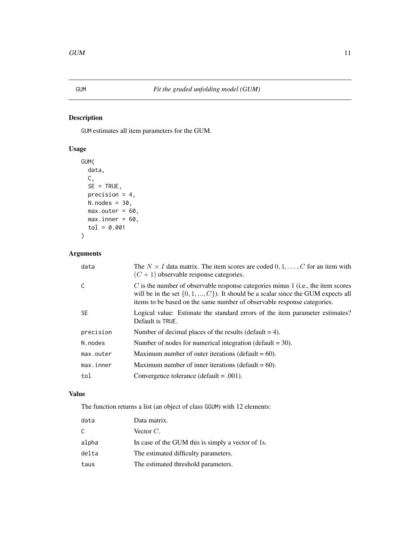<span id="page-10-1"></span><span id="page-10-0"></span>

## Description

GUM estimates all item parameters for the GUM.

# Usage

```
GUM(
 data,
 C,
 SE = TRUE,precision = 4,
 N.nodes = 30,
 max.outer = 60,
 max.inner = 60,tol = 0.001)
```
# Arguments

| data      | The $N \times I$ data matrix. The item scores are coded $0, 1, \ldots, C$ for an item with<br>$(C+1)$ observable response categories.                                                                                                                  |
|-----------|--------------------------------------------------------------------------------------------------------------------------------------------------------------------------------------------------------------------------------------------------------|
| C         | $C$ is the number of observable response categories minus 1 (i.e., the item scores<br>will be in the set $\{0, 1, , C\}$ ). It should be a scalar since the GUM expects all<br>items to be based on the same number of observable response categories. |
| <b>SE</b> | Logical value: Estimate the standard errors of the item parameter estimates?<br>Default is TRUE.                                                                                                                                                       |
| precision | Number of decimal places of the results (default $= 4$ ).                                                                                                                                                                                              |
| N.nodes   | Number of nodes for numerical integration (default $=$ 30).                                                                                                                                                                                            |
| max.outer | Maximum number of outer iterations (default $= 60$ ).                                                                                                                                                                                                  |
| max.inner | Maximum number of inner iterations (default $= 60$ ).                                                                                                                                                                                                  |
| tol       | Convergence tolerance (default $= .001$ ).                                                                                                                                                                                                             |
|           |                                                                                                                                                                                                                                                        |

# Value

The function returns a list (an object of class GGUM) with 12 elements:

| data  | Data matrix.                                      |
|-------|---------------------------------------------------|
| C     | Vector $C$ .                                      |
| alpha | In case of the GUM this is simply a vector of 1s. |
| delta | The estimated difficulty parameters.              |
| taus  | The estimated threshold parameters.               |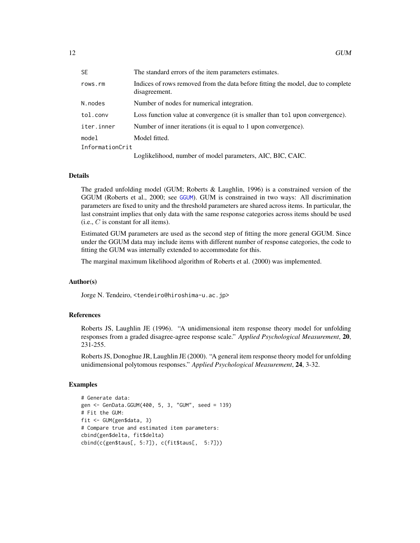<span id="page-11-0"></span>

| <b>SE</b>       | The standard errors of the item parameters estimates.                                            |
|-----------------|--------------------------------------------------------------------------------------------------|
| rows.rm         | Indices of rows removed from the data before fitting the model, due to complete<br>disagreement. |
| N.nodes         | Number of nodes for numerical integration.                                                       |
| tol.conv        | Loss function value at convergence (it is smaller than tol upon convergence).                    |
| iter.inner      | Number of inner iterations (it is equal to 1 upon convergence).                                  |
| model           | Model fitted.                                                                                    |
| InformationCrit |                                                                                                  |
|                 | Loglikelihood, number of model parameters, AIC, BIC, CAIC.                                       |

#### Details

The graded unfolding model (GUM; Roberts & Laughlin, 1996) is a constrained version of the GGUM (Roberts et al., 2000; see [GGUM](#page-7-1)). GUM is constrained in two ways: All discrimination parameters are fixed to unity and the threshold parameters are shared across items. In particular, the last constraint implies that only data with the same response categories across items should be used (i.e.,  $C$  is constant for all items).

Estimated GUM parameters are used as the second step of fitting the more general GGUM. Since under the GGUM data may include items with different number of response categories, the code to fitting the GUM was internally extended to accommodate for this.

The marginal maximum likelihood algorithm of Roberts et al. (2000) was implemented.

#### Author(s)

Jorge N. Tendeiro, <tendeiro@hiroshima-u.ac.jp>

#### References

Roberts JS, Laughlin JE (1996). "A unidimensional item response theory model for unfolding responses from a graded disagree-agree response scale." *Applied Psychological Measurement*, 20, 231-255.

Roberts JS, Donoghue JR, Laughlin JE (2000). "A general item response theory model for unfolding unidimensional polytomous responses." *Applied Psychological Measurement*, 24, 3-32.

#### Examples

```
# Generate data:
gen <- GenData.GGUM(400, 5, 3, "GUM", seed = 139)
# Fit the GUM:
fit <- GUM(gen$data, 3)
# Compare true and estimated item parameters:
cbind(gen$delta, fit$delta)
cbind(c(gen$taus[, 5:7]), c(fit$taus[, 5:7]))
```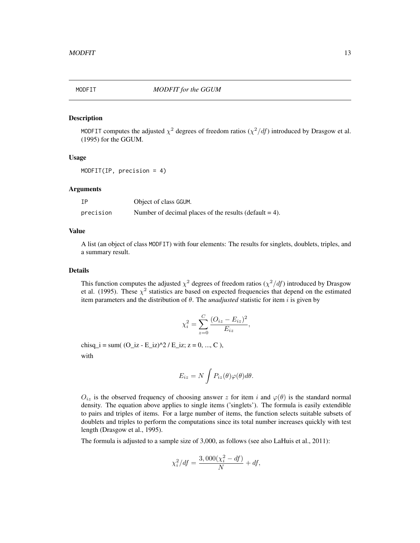<span id="page-12-1"></span><span id="page-12-0"></span>

#### Description

MODFIT computes the adjusted  $\chi^2$  degrees of freedom ratios  $(\chi^2/df)$  introduced by Drasgow et al. (1995) for the GGUM.

#### Usage

MODFIT(IP, precision = 4)

#### Arguments

| ΙP        | Object of class GGUM.                                     |
|-----------|-----------------------------------------------------------|
| precision | Number of decimal places of the results (default $= 4$ ). |

#### Value

A list (an object of class MODFIT) with four elements: The results for singlets, doublets, triples, and a summary result.

#### Details

This function computes the adjusted  $\chi^2$  degrees of freedom ratios  $(\chi^2/df)$  introduced by Drasgow et al. (1995). These  $\chi^2$  statistics are based on expected frequencies that depend on the estimated item parameters and the distribution of  $\theta$ . The *unadjusted* statistic for item *i* is given by

$$
\chi_i^2 = \sum_{z=0}^{C} \frac{(O_{iz} - E_{iz})^2}{E_{iz}},
$$

chisq\_i = sum( $(O_iz - E_iz)^2 / E_iz$ ; z = 0, ..., C),

with

$$
E_{iz} = N \int P_{iz}(\theta) \varphi(\theta) d\theta.
$$

 $O_{iz}$  is the observed frequency of choosing answer z for item i and  $\varphi(\theta)$  is the standard normal density. The equation above applies to single items ('singlets'). The formula is easily extendible to pairs and triples of items. For a large number of items, the function selects suitable subsets of doublets and triples to perform the computations since its total number increases quickly with test length (Drasgow et al., 1995).

The formula is adjusted to a sample size of 3,000, as follows (see also LaHuis et al., 2011):

$$
\chi_i^2 / df = \frac{3,000(\chi_i^2 - df)}{N} + df,
$$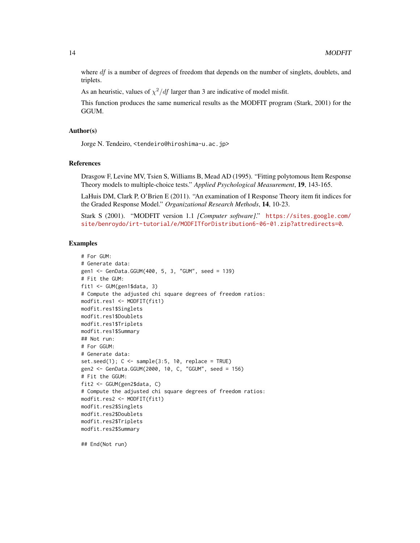where  $df$  is a number of degrees of freedom that depends on the number of singlets, doublets, and triplets.

As an heuristic, values of  $\chi^2/df$  larger than 3 are indicative of model misfit.

This function produces the same numerical results as the MODFIT program (Stark, 2001) for the GGUM.

#### Author(s)

Jorge N. Tendeiro, <tendeiro@hiroshima-u.ac.jp>

#### References

Drasgow F, Levine MV, Tsien S, Williams B, Mead AD (1995). "Fitting polytomous Item Response Theory models to multiple-choice tests." *Applied Psychological Measurement*, 19, 143-165.

LaHuis DM, Clark P, O'Brien E (2011). "An examination of I Response Theory item fit indices for the Graded Response Model." *Organizational Research Methods*, 14, 10-23.

Stark S (2001). "MODFIT version 1.1 *[Computer software]*." [https://sites.google.com/](https://sites.google.com/site/benroydo/irt-tutorial/e/MODFITforDistribution6-06-01.zip?attredirects=0) [site/benroydo/irt-tutorial/e/MODFITforDistribution6-06-01.zip?attredirects=0](https://sites.google.com/site/benroydo/irt-tutorial/e/MODFITforDistribution6-06-01.zip?attredirects=0).

#### Examples

```
# For GUM:
# Generate data:
gen1 <- GenData.GGUM(400, 5, 3, "GUM", seed = 139)
# Fit the GUM:
fit1 <- GUM(gen1$data, 3)
# Compute the adjusted chi square degrees of freedom ratios:
modfit.res1 <- MODFIT(fit1)
modfit.res1$Singlets
modfit.res1$Doublets
modfit.res1$Triplets
modfit.res1$Summary
## Not run:
# For GGUM:
# Generate data:
set.seed(1); C \leq sample(3:5, 10, replace = TRUE)
gen2 <- GenData.GGUM(2000, 10, C, "GGUM", seed = 156)
# Fit the GGUM:
fit2 <- GGUM(gen2$data, C)
# Compute the adjusted chi square degrees of freedom ratios:
modfit.res2 <- MODFIT(fit1)
modfit.res2$Singlets
modfit.res2$Doublets
modfit.res2$Triplets
modfit.res2$Summary
```
## End(Not run)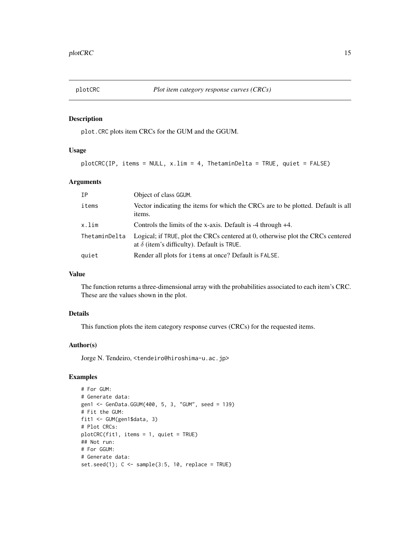<span id="page-14-1"></span><span id="page-14-0"></span>

#### Description

plot.CRC plots item CRCs for the GUM and the GGUM.

# Usage

plotCRC(IP, items = NULL, x.lim = 4, ThetaminDelta = TRUE, quiet = FALSE)

### Arguments

| ΙP            | Object of class GGUM.                                                                                                                |
|---------------|--------------------------------------------------------------------------------------------------------------------------------------|
| items         | Vector indicating the items for which the CRCs are to be plotted. Default is all<br>items.                                           |
| x.lim         | Controls the limits of the x-axis. Default is $-4$ through $+4$ .                                                                    |
| ThetaminDelta | Logical; if TRUE, plot the CRCs centered at 0, otherwise plot the CRCs centered<br>at $\delta$ (item's difficulty). Default is TRUE. |
| quiet         | Render all plots for items at once? Default is FALSE.                                                                                |

# Value

The function returns a three-dimensional array with the probabilities associated to each item's CRC. These are the values shown in the plot.

# Details

This function plots the item category response curves (CRCs) for the requested items.

#### Author(s)

Jorge N. Tendeiro, <tendeiro@hiroshima-u.ac.jp>

## Examples

```
# For GUM:
# Generate data:
gen1 <- GenData.GGUM(400, 5, 3, "GUM", seed = 139)
# Fit the GUM:
fit1 <- GUM(gen1$data, 3)
# Plot CRCs:
plotCRC(fit1, items = 1, quiet = TRUE)
## Not run:
# For GGUM:
# Generate data:
set.seed(1); C \leq - sample(3:5, 10, replace = TRUE)
```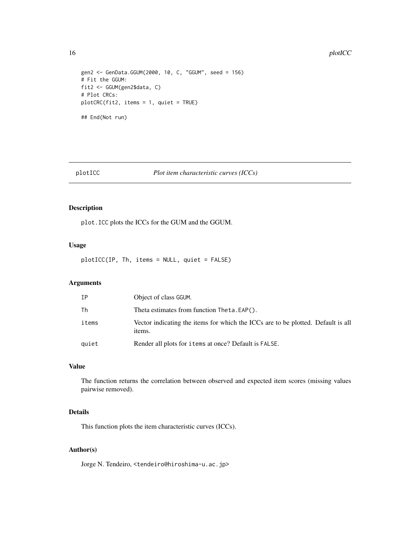#### 16 plotICC

```
gen2 <- GenData.GGUM(2000, 10, C, "GGUM", seed = 156)
# Fit the GGUM:
fit2 <- GGUM(gen2$data, C)
# Plot CRCs:
plotCRC(fit2, items = 1, quiet = TRUE)
## End(Not run)
```
<span id="page-15-1"></span>

#### plotICC *Plot item characteristic curves (ICCs)*

# Description

plot.ICC plots the ICCs for the GUM and the GGUM.

## Usage

plotICC(IP, Th, items = NULL, quiet = FALSE)

## Arguments

| ΙP    | Object of class GGUM.                                                                      |
|-------|--------------------------------------------------------------------------------------------|
| Th    | Theta estimates from function Theta. EAP().                                                |
| items | Vector indicating the items for which the ICCs are to be plotted. Default is all<br>items. |
| quiet | Render all plots for items at once? Default is FALSE.                                      |

# Value

The function returns the correlation between observed and expected item scores (missing values pairwise removed).

# Details

This function plots the item characteristic curves (ICCs).

#### Author(s)

Jorge N. Tendeiro, <tendeiro@hiroshima-u.ac.jp>

<span id="page-15-0"></span>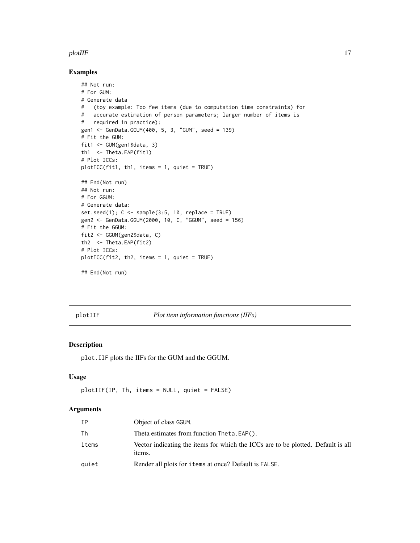#### <span id="page-16-0"></span>plotIIF 17

#### Examples

```
## Not run:
# For GUM:
# Generate data
# (toy example: Too few items (due to computation time constraints) for
# accurate estimation of person parameters; larger number of items is
# required in practice):
gen1 <- GenData.GGUM(400, 5, 3, "GUM", seed = 139)
# Fit the GUM:
fit1 <- GUM(gen1$data, 3)
th1 <- Theta.EAP(fit1)
# Plot ICCs:
plotICC(fit1, th1, items = 1, quiet = TRUE)
## End(Not run)
## Not run:
# For GGUM:
# Generate data:
set.seed(1); C \leq sample(3:5, 10, replace = TRUE)
gen2 <- GenData.GGUM(2000, 10, C, "GGUM", seed = 156)
# Fit the GGUM:
fit2 <- GGUM(gen2$data, C)
th2 <- Theta.EAP(fit2)
# Plot ICCs:
plotICC(fit2, th2, items = 1, quiet = TRUE)
## End(Not run)
```
<span id="page-16-1"></span>

plotIIF *Plot item information functions (IIFs)*

#### Description

plot.IIF plots the IIFs for the GUM and the GGUM.

# Usage

```
plotIIF(IP, Th, items = NULL, quiet = FALSE)
```
#### Arguments

| IΡ    | Object of class GGUM.                                                                      |
|-------|--------------------------------------------------------------------------------------------|
| Th    | Theta estimates from function Theta. EAP().                                                |
| items | Vector indicating the items for which the ICCs are to be plotted. Default is all<br>items. |
| quiet | Render all plots for items at once? Default is FALSE.                                      |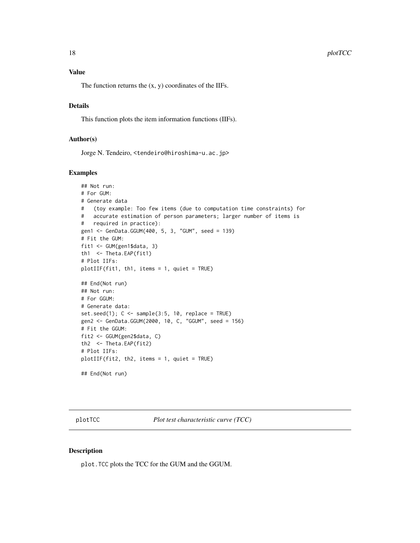#### <span id="page-17-0"></span>18 plotTCC

# Value

The function returns the  $(x, y)$  coordinates of the IIFs.

### Details

This function plots the item information functions (IIFs).

#### Author(s)

Jorge N. Tendeiro, <tendeiro@hiroshima-u.ac.jp>

#### Examples

```
## Not run:
# For GUM:
# Generate data
# (toy example: Too few items (due to computation time constraints) for
# accurate estimation of person parameters; larger number of items is
# required in practice):
gen1 <- GenData.GGUM(400, 5, 3, "GUM", seed = 139)
# Fit the GUM:
fit1 <- GUM(gen1$data, 3)
th1 <- Theta.EAP(fit1)
# Plot IIFs:
plotIIF(fit1, th1, items = 1, quiet = TRUE)
## End(Not run)
## Not run:
# For GGUM:
# Generate data:
set.seed(1); C \leq sample(3:5, 10, replace = TRUE)
gen2 <- GenData.GGUM(2000, 10, C, "GGUM", seed = 156)
# Fit the GGUM:
fit2 <- GGUM(gen2$data, C)
th2 <- Theta.EAP(fit2)
# Plot IIFs:
plotIIF(fit2, th2, items = 1, quiet = TRUE)
## End(Not run)
```
<span id="page-17-1"></span>plotTCC *Plot test characteristic curve (TCC)*

#### Description

plot.TCC plots the TCC for the GUM and the GGUM.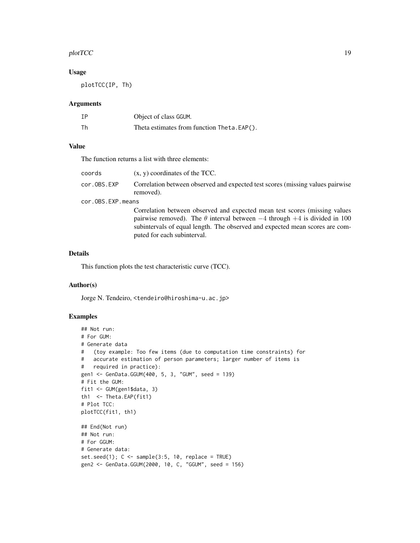#### plotTCC and the state of the state of the state of the state of the state of the state of the state of the state of the state of the state of the state of the state of the state of the state of the state of the state of th

### Usage

plotTCC(IP, Th)

#### Arguments

| IΡ | Object of class GGUM.                       |
|----|---------------------------------------------|
| Th | Theta estimates from function Theta. EAP(). |

#### Value

The function returns a list with three elements:

| coords            | $(x, y)$ coordinates of the TCC.                                                             |  |
|-------------------|----------------------------------------------------------------------------------------------|--|
| cor.OBS.EXP       | Correlation between observed and expected test scores (missing values pairwise)<br>removed). |  |
| cor.OBS.EXP.means |                                                                                              |  |
|                   | Correlation between observed and expected mean test scores (missing values)                  |  |
|                   | pairwise removed). The $\theta$ interval between $-4$ through $+4$ is divided in 100         |  |
|                   | subintervals of equal length. The observed and expected mean scores are com-                 |  |

Details

This function plots the test characteristic curve (TCC).

puted for each subinterval.

#### Author(s)

Jorge N. Tendeiro, <tendeiro@hiroshima-u.ac.jp>

## Examples

```
## Not run:
# For GUM:
# Generate data
# (toy example: Too few items (due to computation time constraints) for
# accurate estimation of person parameters; larger number of items is
# required in practice):
gen1 <- GenData.GGUM(400, 5, 3, "GUM", seed = 139)
# Fit the GUM:
fit1 <- GUM(gen1$data, 3)
th1 <- Theta.EAP(fit1)
# Plot TCC:
plotTCC(fit1, th1)
## End(Not run)
## Not run:
# For GGUM:
# Generate data:
set.seed(1); C \leq - sample(3:5, 10, replace = TRUE)
gen2 <- GenData.GGUM(2000, 10, C, "GGUM", seed = 156)
```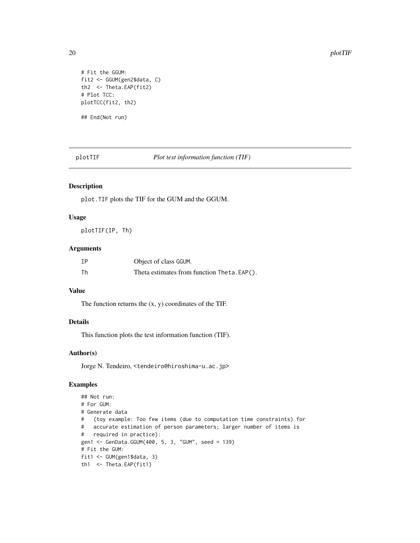```
# Fit the GGUM:
fit2 <- GGUM(gen2$data, C)
th2 <- Theta.EAP(fit2)
# Plot TCC:
plotTCC(fit2, th2)
## End(Not run)
```
<span id="page-19-1"></span>plotTIF *Plot test information function (TIF)*

#### Description

plot.TIF plots the TIF for the GUM and the GGUM.

#### Usage

plotTIF(IP, Th)

## Arguments

| IΡ | Object of class GGUM.                      |
|----|--------------------------------------------|
| Th | Theta estimates from function Theta.EAP(). |

# Value

The function returns the (x, y) coordinates of the TIF.

# Details

This function plots the test information function (TIF).

## Author(s)

Jorge N. Tendeiro, <tendeiro@hiroshima-u.ac.jp>

## Examples

```
## Not run:
# For GUM:
# Generate data
# (toy example: Too few items (due to computation time constraints) for
# accurate estimation of person parameters; larger number of items is
# required in practice):
gen1 <- GenData.GGUM(400, 5, 3, "GUM", seed = 139)
# Fit the GUM:
fit1 <- GUM(gen1$data, 3)
th1 <- Theta.EAP(fit1)
```
<span id="page-19-0"></span>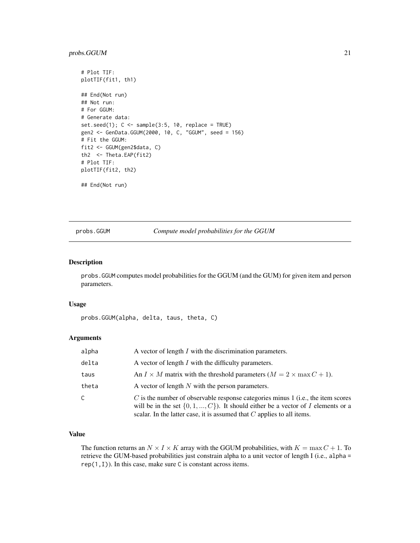## <span id="page-20-0"></span>probs.GGUM 21

```
# Plot TIF:
plotTIF(fit1, th1)
## End(Not run)
## Not run:
# For GGUM:
# Generate data:
set.seed(1); C \leq sample(3:5, 10, replace = TRUE)
gen2 <- GenData.GGUM(2000, 10, C, "GGUM", seed = 156)
# Fit the GGUM:
fit2 <- GGUM(gen2$data, C)
th2 <- Theta.EAP(fit2)
# Plot TIF:
plotTIF(fit2, th2)
## End(Not run)
```
# <span id="page-20-1"></span>probs.GGUM *Compute model probabilities for the GGUM*

#### Description

probs.GGUM computes model probabilities for the GGUM (and the GUM) for given item and person parameters.

#### Usage

```
probs.GGUM(alpha, delta, taus, theta, C)
```
# Arguments

| alpha | A vector of length $I$ with the discrimination parameters.                                                                                                                                                                                             |
|-------|--------------------------------------------------------------------------------------------------------------------------------------------------------------------------------------------------------------------------------------------------------|
| delta | A vector of length I with the difficulty parameters.                                                                                                                                                                                                   |
| taus  | An $I \times M$ matrix with the threshold parameters $(M = 2 \times \max C + 1)$ .                                                                                                                                                                     |
| theta | A vector of length $N$ with the person parameters.                                                                                                                                                                                                     |
| C.    | $C$ is the number of observable response categories minus 1 (i.e., the item scores<br>will be in the set $\{0, 1, , C\}$ . It should either be a vector of I elements or a<br>scalar. In the latter case, it is assumed that $C$ applies to all items. |

# Value

The function returns an  $N \times I \times K$  array with the GGUM probabilities, with  $K = \max C + 1$ . To retrieve the GUM-based probabilities just constrain alpha to a unit vector of length I (i.e., alpha =  $rep(1, I)$ ). In this case, make sure C is constant across items.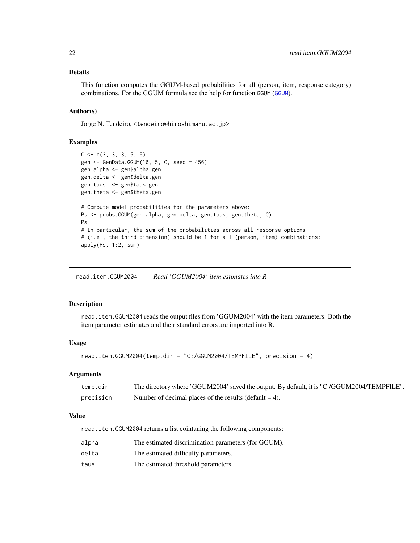#### <span id="page-21-0"></span>Details

This function computes the GGUM-based probabilities for all (person, item, response category) combinations. For the GGUM formula see the help for function GGUM ([GGUM](#page-7-1)).

#### Author(s)

Jorge N. Tendeiro, <tendeiro@hiroshima-u.ac.jp>

#### Examples

```
C \leftarrow c(3, 3, 3, 5, 5)gen <- GenData.GGUM(10, 5, C, seed = 456)
gen.alpha <- gen$alpha.gen
gen.delta <- gen$delta.gen
gen.taus <- gen$taus.gen
gen.theta <- gen$theta.gen
# Compute model probabilities for the parameters above:
Ps <- probs.GGUM(gen.alpha, gen.delta, gen.taus, gen.theta, C)
Ps
# In particular, the sum of the probabilities across all response options
# (i.e., the third dimension) should be 1 for all (person, item) combinations:
apply(Ps, 1:2, sum)
```
<span id="page-21-1"></span>read.item.GGUM2004 *Read 'GGUM2004' item estimates into R*

#### **Description**

read.item.GGUM2004 reads the output files from 'GGUM2004' with the item parameters. Both the item parameter estimates and their standard errors are imported into R.

#### Usage

```
read.item.GGUM2004(temp.dir = "C:/GGUM2004/TEMPFILE", precision = 4)
```
#### Arguments

| temp.dir  | The directory where 'GGUM2004' saved the output. By default, it is "C:/GGUM2004/TEMPFILE". |
|-----------|--------------------------------------------------------------------------------------------|
| precision | Number of decimal places of the results (default $= 4$ ).                                  |

#### Value

read.item.GGUM2004 returns a list cointaning the following components:

| alpha | The estimated discrimination parameters (for GGUM). |
|-------|-----------------------------------------------------|
| delta | The estimated difficulty parameters.                |
| taus  | The estimated threshold parameters.                 |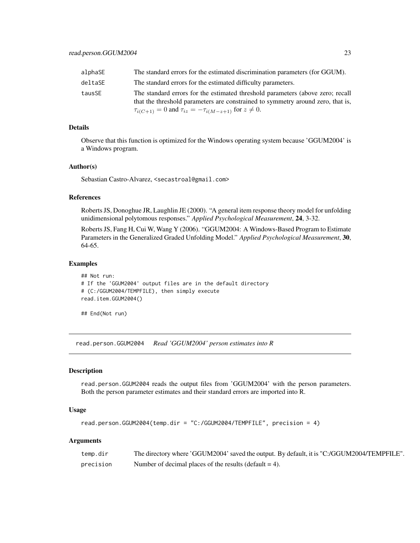<span id="page-22-0"></span>

| alphaSE | The standard errors for the estimated discrimination parameters (for GGUM).                                                                                                                                                                  |
|---------|----------------------------------------------------------------------------------------------------------------------------------------------------------------------------------------------------------------------------------------------|
| deltaSE | The standard errors for the estimated difficulty parameters.                                                                                                                                                                                 |
| tausSE  | The standard errors for the estimated threshold parameters (above zero; recall<br>that the threshold parameters are constrained to symmetry around zero, that is,<br>$\tau_{i(C+1)} = 0$ and $\tau_{iz} = -\tau_{i(M-z+1)}$ for $z \neq 0$ . |

#### Details

Observe that this function is optimized for the Windows operating system because 'GGUM2004' is a Windows program.

#### Author(s)

Sebastian Castro-Alvarez, <secastroal@gmail.com>

#### References

Roberts JS, Donoghue JR, Laughlin JE (2000). "A general item response theory model for unfolding unidimensional polytomous responses." *Applied Psychological Measurement*, 24, 3-32.

Roberts JS, Fang H, Cui W, Wang Y (2006). "GGUM2004: A Windows-Based Program to Estimate Parameters in the Generalized Graded Unfolding Model." *Applied Psychological Measurement*, 30, 64-65.

#### Examples

```
## Not run:
# If the 'GGUM2004' output files are in the default directory
# (C:/GGUM2004/TEMPFILE), then simply execute
read.item.GGUM2004()
```
## End(Not run)

<span id="page-22-1"></span>read.person.GGUM2004 *Read 'GGUM2004' person estimates into R*

#### Description

read.person.GGUM2004 reads the output files from 'GGUM2004' with the person parameters. Both the person parameter estimates and their standard errors are imported into R.

#### Usage

```
read.person.GGUM2004(temp.dir = "C:/GGUM2004/TEMPFILE", precision = 4)
```
#### Arguments

| temp.dir  | The directory where 'GGUM2004' saved the output. By default, it is "C:/GGUM2004/TEMPFILE". |
|-----------|--------------------------------------------------------------------------------------------|
| precision | Number of decimal places of the results (default $= 4$ ).                                  |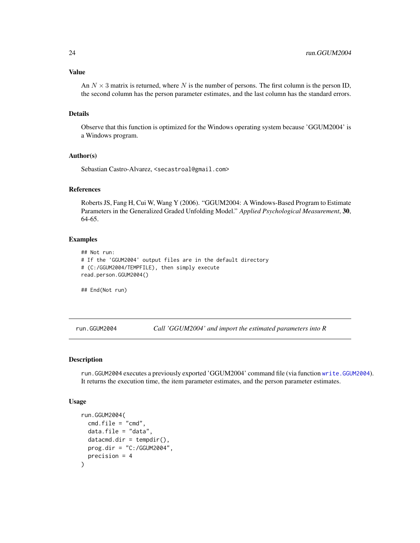<span id="page-23-0"></span>Value

An  $N \times 3$  matrix is returned, where N is the number of persons. The first column is the person ID, the second column has the person parameter estimates, and the last column has the standard errors.

#### Details

Observe that this function is optimized for the Windows operating system because 'GGUM2004' is a Windows program.

#### Author(s)

Sebastian Castro-Alvarez, <secastroal@gmail.com>

#### References

Roberts JS, Fang H, Cui W, Wang Y (2006). "GGUM2004: A Windows-Based Program to Estimate Parameters in the Generalized Graded Unfolding Model." *Applied Psychological Measurement*, 30, 64-65.

#### Examples

```
## Not run:
# If the 'GGUM2004' output files are in the default directory
# (C:/GGUM2004/TEMPFILE), then simply execute
read.person.GGUM2004()
```
## End(Not run)

<span id="page-23-1"></span>run.GGUM2004 *Call 'GGUM2004' and import the estimated parameters into R*

#### Description

run.GGUM2004 executes a previously exported 'GGUM2004' command file (via function [write.GGUM2004](#page-26-1)). It returns the execution time, the item parameter estimates, and the person parameter estimates.

#### Usage

```
run.GGUM2004(
  cmd.file = "cmd".data.file = "data",
 datacmd.dir = tempdir(),prog.dir = "C:/GGUM2004",
 precision = 4
)
```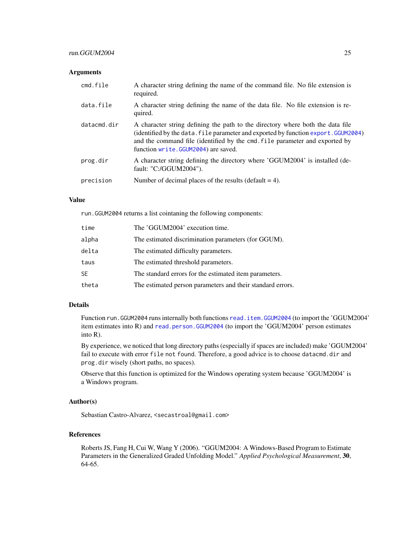#### <span id="page-24-0"></span>**Arguments**

| cmd.file    | A character string defining the name of the command file. No file extension is<br>required.                                                                                                                                                                                                 |
|-------------|---------------------------------------------------------------------------------------------------------------------------------------------------------------------------------------------------------------------------------------------------------------------------------------------|
| data.file   | A character string defining the name of the data file. No file extension is re-<br>quired.                                                                                                                                                                                                  |
| datacmd.dir | A character string defining the path to the directory where both the data file<br>(identified by the data. file parameter and exported by function export. GGUM2004)<br>and the command file (identified by the cmd. file parameter and exported by<br>function write. GGUM2004) are saved. |
| prog.dir    | A character string defining the directory where 'GGUM2004' is installed (de-<br>fault: "C:/GGUM2004").                                                                                                                                                                                      |
| precision   | Number of decimal places of the results (default $= 4$ ).                                                                                                                                                                                                                                   |

#### Value

run.GGUM2004 returns a list cointaning the following components:

| time      | The 'GGUM2004' execution time.                             |
|-----------|------------------------------------------------------------|
| alpha     | The estimated discrimination parameters (for GGUM).        |
| delta     | The estimated difficulty parameters.                       |
| taus      | The estimated threshold parameters.                        |
| <b>SE</b> | The standard errors for the estimated item parameters.     |
| theta     | The estimated person parameters and their standard errors. |

#### Details

Function run.GGUM2004 runs internally both functions [read.item.GGUM2004](#page-21-1) (to import the 'GGUM2004' item estimates into R) and [read.person.GGUM2004](#page-22-1) (to import the 'GGUM2004' person estimates into R).

By experience, we noticed that long directory paths (especially if spaces are included) make 'GGUM2004' fail to execute with error file not found. Therefore, a good advice is to choose datacmd.dir and prog.dir wisely (short paths, no spaces).

Observe that this function is optimized for the Windows operating system because 'GGUM2004' is a Windows program.

#### Author(s)

Sebastian Castro-Alvarez, <secastroal@gmail.com>

#### References

Roberts JS, Fang H, Cui W, Wang Y (2006). "GGUM2004: A Windows-Based Program to Estimate Parameters in the Generalized Graded Unfolding Model." *Applied Psychological Measurement*, 30, 64-65.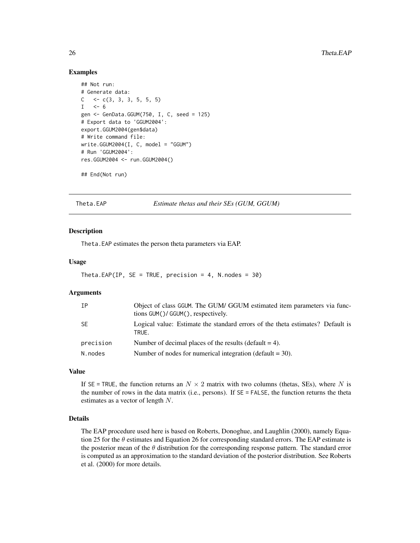#### Examples

```
## Not run:
# Generate data:
C \leq -c(3, 3, 3, 5, 5, 5)I \le -6gen <- GenData.GGUM(750, I, C, seed = 125)
# Export data to 'GGUM2004':
export.GGUM2004(gen$data)
# Write command file:
write.GGUM2004(I, C, model = "GGUM")# Run 'GGUM2004':
res.GGUM2004 <- run.GGUM2004()
## End(Not run)
```
<span id="page-25-1"></span>Theta.EAP *Estimate thetas and their SEs (GUM, GGUM)*

#### Description

Theta.EAP estimates the person theta parameters via EAP.

#### Usage

```
Theta.EAP(IP, SE = TRUE, precision = 4, N.nodes = 30)
```
#### Arguments

| IP        | Object of class GGUM. The GUM/ GGUM estimated item parameters via func-<br>tions GUM()/ GGUM(), respectively. |
|-----------|---------------------------------------------------------------------------------------------------------------|
| -SE       | Logical value: Estimate the standard errors of the theta estimates? Default is<br>TRUE.                       |
| precision | Number of decimal places of the results (default $=$ 4).                                                      |
| N.nodes   | Number of nodes for numerical integration (default $=$ 30).                                                   |

#### Value

If SE = TRUE, the function returns an  $N \times 2$  matrix with two columns (thetas, SEs), where N is the number of rows in the data matrix (i.e., persons). If  $SE = FALSE$ , the function returns the theta estimates as a vector of length N.

#### Details

The EAP procedure used here is based on Roberts, Donoghue, and Laughlin (2000), namely Equation 25 for the  $\theta$  estimates and Equation 26 for corresponding standard errors. The EAP estimate is the posterior mean of the  $\theta$  distribution for the corresponding response pattern. The standard error is computed as an approximation to the standard deviation of the posterior distribution. See Roberts et al. (2000) for more details.

<span id="page-25-0"></span>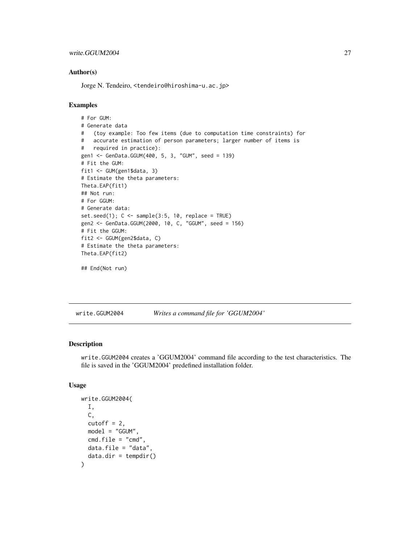#### <span id="page-26-0"></span>Author(s)

Jorge N. Tendeiro, <tendeiro@hiroshima-u.ac.jp>

#### Examples

```
# For GUM:
# Generate data
# (toy example: Too few items (due to computation time constraints) for
# accurate estimation of person parameters; larger number of items is
# required in practice):
gen1 <- GenData.GGUM(400, 5, 3, "GUM", seed = 139)
# Fit the GUM:
fit1 <- GUM(gen1$data, 3)
# Estimate the theta parameters:
Theta.EAP(fit1)
## Not run:
# For GGUM:
# Generate data:
set.seed(1); C \leq - sample(3:5, 10, replace = TRUE)
gen2 <- GenData.GGUM(2000, 10, C, "GGUM", seed = 156)
# Fit the GGUM:
fit2 <- GGUM(gen2$data, C)
# Estimate the theta parameters:
Theta.EAP(fit2)
```

```
## End(Not run)
```
<span id="page-26-1"></span>write.GGUM2004 *Writes a command file for 'GGUM2004'*

## Description

write.GGUM2004 creates a 'GGUM2004' command file according to the test characteristics. The file is saved in the 'GGUM2004' predefined installation folder.

#### Usage

```
write.GGUM2004(
 I,
 C,
  cutoff = 2,
 model = "GGUM",
 cmd.file = "cmd",data.file = "data"data.dir = tempdir()
)
```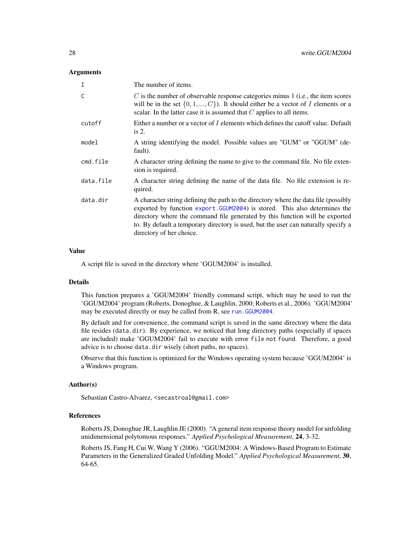#### <span id="page-27-0"></span>**Arguments**

| I         | The number of items.                                                                                                                                                                                                                                                                                                                                                |
|-----------|---------------------------------------------------------------------------------------------------------------------------------------------------------------------------------------------------------------------------------------------------------------------------------------------------------------------------------------------------------------------|
| Ċ         | $C$ is the number of observable response categories minus 1 (i.e., the item scores<br>will be in the set $\{0, 1, , C\}$ . It should either be a vector of I elements or a<br>scalar. In the latter case it is assumed that $C$ applies to all items.                                                                                                               |
| cutoff    | Either a number or a vector of I elements which defines the cutoff value. Default<br>is $2$ .                                                                                                                                                                                                                                                                       |
| model     | A string identifying the model. Possible values are "GUM" or "GGUM" (de-<br>fault).                                                                                                                                                                                                                                                                                 |
| cmd.file  | A character string defining the name to give to the command file. No file exten-<br>sion is required.                                                                                                                                                                                                                                                               |
| data.file | A character string defining the name of the data file. No file extension is re-<br>quired.                                                                                                                                                                                                                                                                          |
| data.dir  | A character string defining the path to the directory where the data file (possibly<br>exported by function export. GGUM2004) is stored. This also determines the<br>directory where the command file generated by this function will be exported<br>to. By default a temporary directory is used, but the user can naturally specify a<br>directory of her choice. |

#### Value

A script file is saved in the directory where 'GGUM2004' is installed.

#### Details

This function prepares a 'GGUM2004' friendly command script, which may be used to run the 'GGUM2004' program (Roberts, Donoghue, & Laughlin, 2000; Roberts et al., 2006). 'GGUM2004' may be executed directly or may be called from R, see run. GGUM2004.

By default and for convenience, the command script is saved in the same directory where the data file resides (data.dir). By experience, we noticed that long directory paths (especially if spaces are included) make 'GGUM2004' fail to execute with error file not found. Therefore, a good advice is to choose data.dir wisely (short paths, no spaces).

Observe that this function is optimized for the Windows operating system because 'GGUM2004' is a Windows program.

#### Author(s)

Sebastian Castro-Alvarez, <secastroal@gmail.com>

#### References

Roberts JS, Donoghue JR, Laughlin JE (2000). "A general item response theory model for unfolding unidimensional polytomous responses." *Applied Psychological Measurement*, 24, 3-32.

Roberts JS, Fang H, Cui W, Wang Y (2006). "GGUM2004: A Windows-Based Program to Estimate Parameters in the Generalized Graded Unfolding Model." *Applied Psychological Measurement*, 30, 64-65.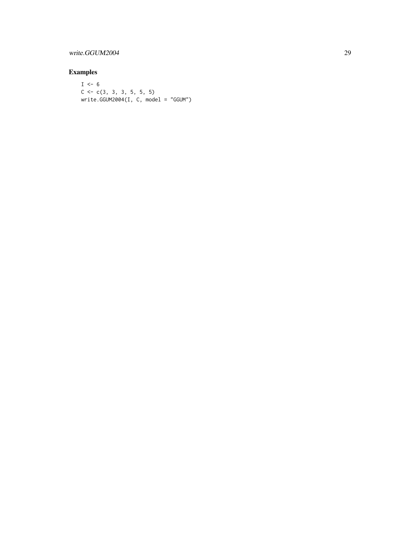# write.GGUM2004 29

# Examples

 $I \le -6$  $C \leftarrow C(3, 3, 3, 5, 5, 5)$ write.GGUM2004(I, C, model = "GGUM")